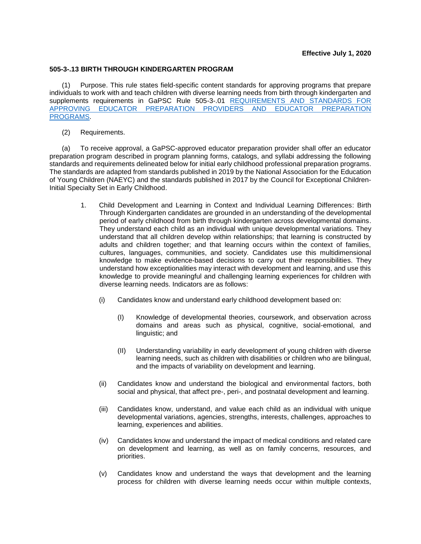## **505-3-.13 BIRTH THROUGH KINDERGARTEN PROGRAM**

(1) Purpose. This rule states field-specific content standards for approving programs that prepare individuals to work with and teach children with diverse learning needs from birth through kindergarten and supplements requirements in GaPSC Rule 505-3-.01 [REQUIREMENTS AND STANDARDS FOR](https://www.gapsc.com/Rules/Current/EducatorPreparation/505-3-.01.pdf?dt=%3C%25#Eval()  [APPROVING EDUCATOR PREPARATION PROVIDERS AND EDUCATOR PREPARATION](https://www.gapsc.com/Rules/Current/EducatorPreparation/505-3-.01.pdf?dt=%3C%25#Eval()  [PROGRAMS.](https://www.gapsc.com/Rules/Current/EducatorPreparation/505-3-.01.pdf?dt=%3C%25#Eval()

(2) Requirements.

(a) To receive approval, a GaPSC-approved educator preparation provider shall offer an educator preparation program described in program planning forms, catalogs, and syllabi addressing the following standards and requirements delineated below for initial early childhood professional preparation programs. The standards are adapted from standards published in 2019 by the National Association for the Education of Young Children (NAEYC) and the standards published in 2017 by the Council for Exceptional Children-Initial Specialty Set in Early Childhood.

- 1. Child Development and Learning in Context and Individual Learning Differences: Birth Through Kindergarten candidates are grounded in an understanding of the developmental period of early childhood from birth through kindergarten across developmental domains. They understand each child as an individual with unique developmental variations. They understand that all children develop within relationships; that learning is constructed by adults and children together; and that learning occurs within the context of families, cultures, languages, communities, and society. Candidates use this multidimensional knowledge to make evidence-based decisions to carry out their responsibilities. They understand how exceptionalities may interact with development and learning, and use this knowledge to provide meaningful and challenging learning experiences for children with diverse learning needs. Indicators are as follows:
	- (i) Candidates know and understand early childhood development based on:
		- (I) Knowledge of developmental theories, coursework, and observation across domains and areas such as physical, cognitive, social-emotional, and linguistic; and
		- (II) Understanding variability in early development of young children with diverse learning needs, such as children with disabilities or children who are bilingual, and the impacts of variability on development and learning.
	- (ii) Candidates know and understand the biological and environmental factors, both social and physical, that affect pre-, peri-, and postnatal development and learning.
	- (iii) Candidates know, understand, and value each child as an individual with unique developmental variations, agencies, strengths, interests, challenges, approaches to learning, experiences and abilities.
	- (iv) Candidates know and understand the impact of medical conditions and related care on development and learning, as well as on family concerns, resources, and priorities.
	- (v) Candidates know and understand the ways that development and the learning process for children with diverse learning needs occur within multiple contexts,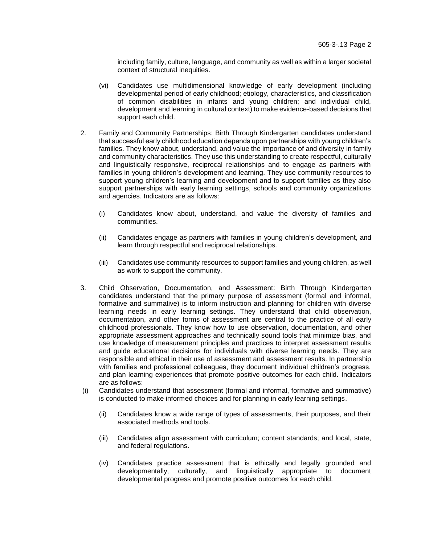including family, culture, language, and community as well as within a larger societal context of structural inequities.

- (vi) Candidates use multidimensional knowledge of early development (including developmental period of early childhood; etiology, characteristics, and classification of common disabilities in infants and young children; and individual child, development and learning in cultural context) to make evidence-based decisions that support each child.
- 2. Family and Community Partnerships: Birth Through Kindergarten candidates understand that successful early childhood education depends upon partnerships with young children's families. They know about, understand, and value the importance of and diversity in family and community characteristics. They use this understanding to create respectful, culturally and linguistically responsive, reciprocal relationships and to engage as partners with families in young children's development and learning. They use community resources to support young children's learning and development and to support families as they also support partnerships with early learning settings, schools and community organizations and agencies. Indicators are as follows:
	- (i) Candidates know about, understand, and value the diversity of families and communities.
	- (ii) Candidates engage as partners with families in young children's development, and learn through respectful and reciprocal relationships.
	- (iii) Candidates use community resources to support families and young children, as well as work to support the community.
- 3. Child Observation, Documentation, and Assessment: Birth Through Kindergarten candidates understand that the primary purpose of assessment (formal and informal, formative and summative) is to inform instruction and planning for children with diverse learning needs in early learning settings. They understand that child observation, documentation, and other forms of assessment are central to the practice of all early childhood professionals. They know how to use observation, documentation, and other appropriate assessment approaches and technically sound tools that minimize bias, and use knowledge of measurement principles and practices to interpret assessment results and guide educational decisions for individuals with diverse learning needs. They are responsible and ethical in their use of assessment and assessment results. In partnership with families and professional colleagues, they document individual children's progress, and plan learning experiences that promote positive outcomes for each child. Indicators are as follows:
- (i) Candidates understand that assessment (formal and informal, formative and summative) is conducted to make informed choices and for planning in early learning settings.
	- (ii) Candidates know a wide range of types of assessments, their purposes, and their associated methods and tools.
	- (iii) Candidates align assessment with curriculum; content standards; and local, state, and federal regulations.
	- (iv) Candidates practice assessment that is ethically and legally grounded and developmentally, culturally, and linguistically appropriate to document developmental progress and promote positive outcomes for each child.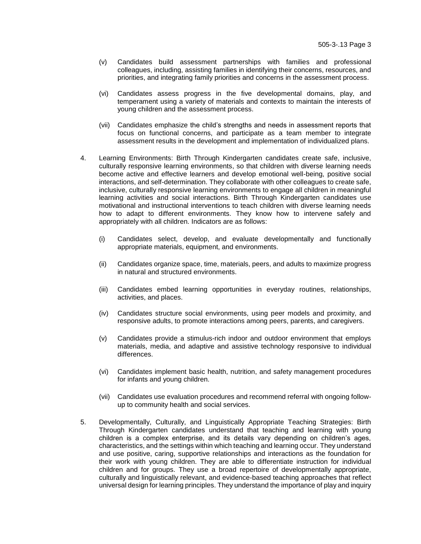- (v) Candidates build assessment partnerships with families and professional colleagues, including, assisting families in identifying their concerns, resources, and priorities, and integrating family priorities and concerns in the assessment process.
- (vi) Candidates assess progress in the five developmental domains, play, and temperament using a variety of materials and contexts to maintain the interests of young children and the assessment process.
- (vii) Candidates emphasize the child's strengths and needs in assessment reports that focus on functional concerns, and participate as a team member to integrate assessment results in the development and implementation of individualized plans.
- 4. Learning Environments: Birth Through Kindergarten candidates create safe, inclusive, culturally responsive learning environments, so that children with diverse learning needs become active and effective learners and develop emotional well-being, positive social interactions, and self-determination. They collaborate with other colleagues to create safe, inclusive, culturally responsive learning environments to engage all children in meaningful learning activities and social interactions. Birth Through Kindergarten candidates use motivational and instructional interventions to teach children with diverse learning needs how to adapt to different environments. They know how to intervene safely and appropriately with all children. Indicators are as follows:
	- (i) Candidates select, develop, and evaluate developmentally and functionally appropriate materials, equipment, and environments.
	- (ii) Candidates organize space, time, materials, peers, and adults to maximize progress in natural and structured environments.
	- (iii) Candidates embed learning opportunities in everyday routines, relationships, activities, and places.
	- (iv) Candidates structure social environments, using peer models and proximity, and responsive adults, to promote interactions among peers, parents, and caregivers.
	- (v) Candidates provide a stimulus-rich indoor and outdoor environment that employs materials, media, and adaptive and assistive technology responsive to individual differences.
	- (vi) Candidates implement basic health, nutrition, and safety management procedures for infants and young children.
	- (vii) Candidates use evaluation procedures and recommend referral with ongoing followup to community health and social services.
- 5. Developmentally, Culturally, and Linguistically Appropriate Teaching Strategies: Birth Through Kindergarten candidates understand that teaching and learning with young children is a complex enterprise, and its details vary depending on children's ages, characteristics, and the settings within which teaching and learning occur. They understand and use positive, caring, supportive relationships and interactions as the foundation for their work with young children. They are able to differentiate instruction for individual children and for groups. They use a broad repertoire of developmentally appropriate, culturally and linguistically relevant, and evidence-based teaching approaches that reflect universal design for learning principles. They understand the importance of play and inquiry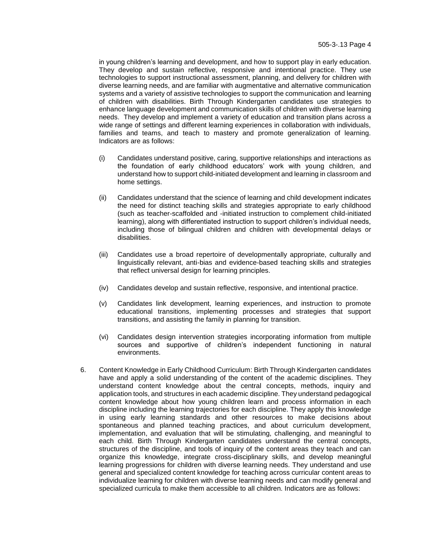in young children's learning and development, and how to support play in early education. They develop and sustain reflective, responsive and intentional practice. They use technologies to support instructional assessment, planning, and delivery for children with diverse learning needs, and are familiar with augmentative and alternative communication systems and a variety of assistive technologies to support the communication and learning of children with disabilities. Birth Through Kindergarten candidates use strategies to enhance language development and communication skills of children with diverse learning needs. They develop and implement a variety of education and transition plans across a wide range of settings and different learning experiences in collaboration with individuals, families and teams, and teach to mastery and promote generalization of learning. Indicators are as follows:

- (i) Candidates understand positive, caring, supportive relationships and interactions as the foundation of early childhood educators' work with young children, and understand how to support child-initiated development and learning in classroom and home settings.
- (ii) Candidates understand that the science of learning and child development indicates the need for distinct teaching skills and strategies appropriate to early childhood (such as teacher-scaffolded and -initiated instruction to complement child-initiated learning), along with differentiated instruction to support children's individual needs, including those of bilingual children and children with developmental delays or disabilities.
- (iii) Candidates use a broad repertoire of developmentally appropriate, culturally and linguistically relevant, anti-bias and evidence-based teaching skills and strategies that reflect universal design for learning principles.
- (iv) Candidates develop and sustain reflective, responsive, and intentional practice.
- (v) Candidates link development, learning experiences, and instruction to promote educational transitions, implementing processes and strategies that support transitions, and assisting the family in planning for transition.
- (vi) Candidates design intervention strategies incorporating information from multiple sources and supportive of children's independent functioning in natural environments.
- 6. Content Knowledge in Early Childhood Curriculum: Birth Through Kindergarten candidates have and apply a solid understanding of the content of the academic disciplines. They understand content knowledge about the central concepts, methods, inquiry and application tools, and structures in each academic discipline. They understand pedagogical content knowledge about how young children learn and process information in each discipline including the learning trajectories for each discipline. They apply this knowledge in using early learning standards and other resources to make decisions about spontaneous and planned teaching practices, and about curriculum development, implementation, and evaluation that will be stimulating, challenging, and meaningful to each child. Birth Through Kindergarten candidates understand the central concepts, structures of the discipline, and tools of inquiry of the content areas they teach and can organize this knowledge, integrate cross-disciplinary skills, and develop meaningful learning progressions for children with diverse learning needs. They understand and use general and specialized content knowledge for teaching across curricular content areas to individualize learning for children with diverse learning needs and can modify general and specialized curricula to make them accessible to all children. Indicators are as follows: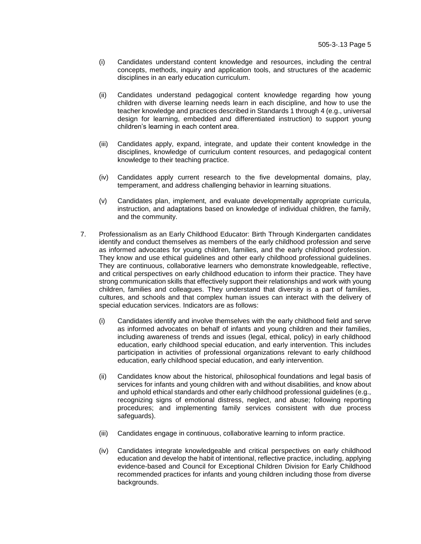- (i) Candidates understand content knowledge and resources, including the central concepts, methods, inquiry and application tools, and structures of the academic disciplines in an early education curriculum.
- (ii) Candidates understand pedagogical content knowledge regarding how young children with diverse learning needs learn in each discipline, and how to use the teacher knowledge and practices described in Standards 1 through 4 (e.g., universal design for learning, embedded and differentiated instruction) to support young children's learning in each content area.
- (iii) Candidates apply, expand, integrate, and update their content knowledge in the disciplines, knowledge of curriculum content resources, and pedagogical content knowledge to their teaching practice.
- (iv) Candidates apply current research to the five developmental domains, play, temperament, and address challenging behavior in learning situations.
- (v) Candidates plan, implement, and evaluate developmentally appropriate curricula, instruction, and adaptations based on knowledge of individual children, the family, and the community.
- 7. Professionalism as an Early Childhood Educator: Birth Through Kindergarten candidates identify and conduct themselves as members of the early childhood profession and serve as informed advocates for young children, families, and the early childhood profession. They know and use ethical guidelines and other early childhood professional guidelines. They are continuous, collaborative learners who demonstrate knowledgeable, reflective, and critical perspectives on early childhood education to inform their practice. They have strong communication skills that effectively support their relationships and work with young children, families and colleagues. They understand that diversity is a part of families, cultures, and schools and that complex human issues can interact with the delivery of special education services. Indicators are as follows:
	- (i) Candidates identify and involve themselves with the early childhood field and serve as informed advocates on behalf of infants and young children and their families, including awareness of trends and issues (legal, ethical, policy) in early childhood education, early childhood special education, and early intervention. This includes participation in activities of professional organizations relevant to early childhood education, early childhood special education, and early intervention.
	- (ii) Candidates know about the historical, philosophical foundations and legal basis of services for infants and young children with and without disabilities, and know about and uphold ethical standards and other early childhood professional guidelines (e.g., recognizing signs of emotional distress, neglect, and abuse; following reporting procedures; and implementing family services consistent with due process safeguards).
	- (iii) Candidates engage in continuous, collaborative learning to inform practice.
	- (iv) Candidates integrate knowledgeable and critical perspectives on early childhood education and develop the habit of intentional, reflective practice, including, applying evidence-based and Council for Exceptional Children Division for Early Childhood recommended practices for infants and young children including those from diverse backgrounds.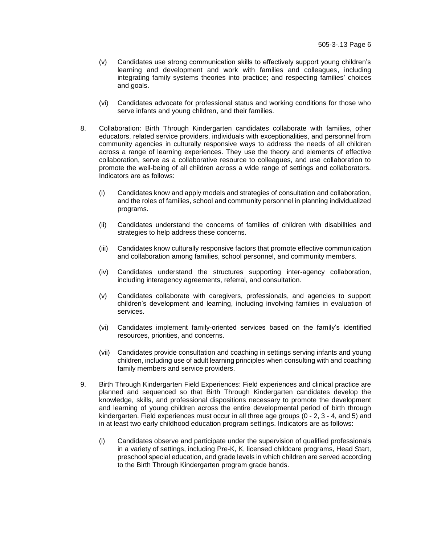- (v) Candidates use strong communication skills to effectively support young children's learning and development and work with families and colleagues, including integrating family systems theories into practice; and respecting families' choices and goals.
- (vi) Candidates advocate for professional status and working conditions for those who serve infants and young children, and their families.
- 8. Collaboration: Birth Through Kindergarten candidates collaborate with families, other educators, related service providers, individuals with exceptionalities, and personnel from community agencies in culturally responsive ways to address the needs of all children across a range of learning experiences. They use the theory and elements of effective collaboration, serve as a collaborative resource to colleagues, and use collaboration to promote the well-being of all children across a wide range of settings and collaborators. Indicators are as follows:
	- (i) Candidates know and apply models and strategies of consultation and collaboration, and the roles of families, school and community personnel in planning individualized programs.
	- (ii) Candidates understand the concerns of families of children with disabilities and strategies to help address these concerns.
	- (iii) Candidates know culturally responsive factors that promote effective communication and collaboration among families, school personnel, and community members.
	- (iv) Candidates understand the structures supporting inter-agency collaboration, including interagency agreements, referral, and consultation.
	- (v) Candidates collaborate with caregivers, professionals, and agencies to support children's development and learning, including involving families in evaluation of services.
	- (vi) Candidates implement family-oriented services based on the family's identified resources, priorities, and concerns.
	- (vii) Candidates provide consultation and coaching in settings serving infants and young children, including use of adult learning principles when consulting with and coaching family members and service providers.
- 9. Birth Through Kindergarten Field Experiences: Field experiences and clinical practice are planned and sequenced so that Birth Through Kindergarten candidates develop the knowledge, skills, and professional dispositions necessary to promote the development and learning of young children across the entire developmental period of birth through kindergarten. Field experiences must occur in all three age groups (0 - 2, 3 - 4, and 5) and in at least two early childhood education program settings. Indicators are as follows:
	- (i) Candidates observe and participate under the supervision of qualified professionals in a variety of settings, including Pre-K, K, licensed childcare programs, Head Start, preschool special education, and grade levels in which children are served according to the Birth Through Kindergarten program grade bands.